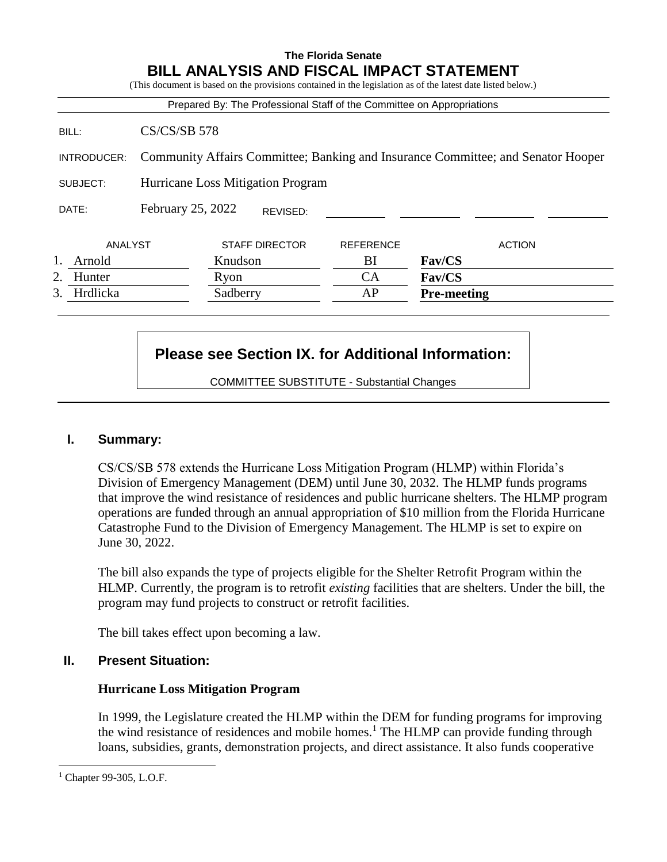# **The Florida Senate BILL ANALYSIS AND FISCAL IMPACT STATEMENT**

(This document is based on the provisions contained in the legislation as of the latest date listed below.) Prepared By: The Professional Staff of the Committee on Appropriations BILL: CS/CS/SB 578 INTRODUCER: Community Affairs Committee; Banking and Insurance Committee; and Senator Hooper SUBJECT: Hurricane Loss Mitigation Program DATE: February 25, 2022 ANALYST STAFF DIRECTOR REFERENCE ACTION 1. Arnold Knudson BI **Fav/CS** 2. Hunter Ryon CA **Fav/CS** 3. Hrdlicka Sadberry AP **Pre-meeting** REVISED:

# **Please see Section IX. for Additional Information:**

COMMITTEE SUBSTITUTE - Substantial Changes

## **I. Summary:**

CS/CS/SB 578 extends the Hurricane Loss Mitigation Program (HLMP) within Florida's Division of Emergency Management (DEM) until June 30, 2032. The HLMP funds programs that improve the wind resistance of residences and public hurricane shelters. The HLMP program operations are funded through an annual appropriation of \$10 million from the Florida Hurricane Catastrophe Fund to the Division of Emergency Management. The HLMP is set to expire on June 30, 2022.

The bill also expands the type of projects eligible for the Shelter Retrofit Program within the HLMP. Currently, the program is to retrofit *existing* facilities that are shelters. Under the bill, the program may fund projects to construct or retrofit facilities.

The bill takes effect upon becoming a law.

## **II. Present Situation:**

## **Hurricane Loss Mitigation Program**

In 1999, the Legislature created the HLMP within the DEM for funding programs for improving the wind resistance of residences and mobile homes.<sup>1</sup> The HLMP can provide funding through loans, subsidies, grants, demonstration projects, and direct assistance. It also funds cooperative

 $\overline{a}$ 

Chapter 99-305, L.O.F.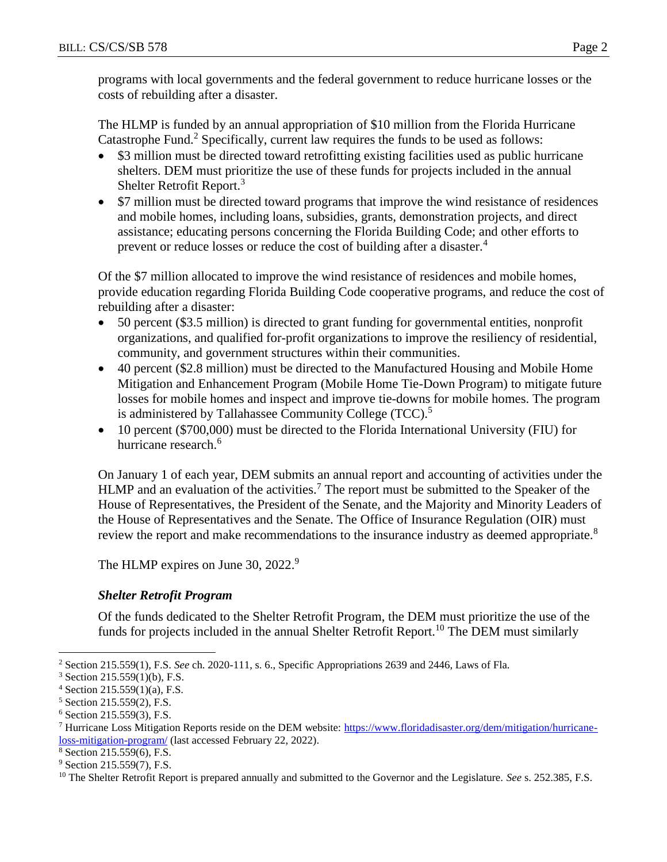programs with local governments and the federal government to reduce hurricane losses or the costs of rebuilding after a disaster.

The HLMP is funded by an annual appropriation of \$10 million from the Florida Hurricane Catastrophe Fund.<sup>2</sup> Specifically, current law requires the funds to be used as follows:

- \$3 million must be directed toward retrofitting existing facilities used as public hurricane shelters. DEM must prioritize the use of these funds for projects included in the annual Shelter Retrofit Report.<sup>3</sup>
- \$7 million must be directed toward programs that improve the wind resistance of residences and mobile homes, including loans, subsidies, grants, demonstration projects, and direct assistance; educating persons concerning the Florida Building Code; and other efforts to prevent or reduce losses or reduce the cost of building after a disaster.<sup>4</sup>

Of the \$7 million allocated to improve the wind resistance of residences and mobile homes, provide education regarding Florida Building Code cooperative programs, and reduce the cost of rebuilding after a disaster:

- 50 percent (\$3.5 million) is directed to grant funding for governmental entities, nonprofit organizations, and qualified for-profit organizations to improve the resiliency of residential, community, and government structures within their communities.
- 40 percent (\$2.8 million) must be directed to the Manufactured Housing and Mobile Home Mitigation and Enhancement Program (Mobile Home Tie-Down Program) to mitigate future losses for mobile homes and inspect and improve tie-downs for mobile homes. The program is administered by Tallahassee Community College (TCC).<sup>5</sup>
- 10 percent (\$700,000) must be directed to the Florida International University (FIU) for hurricane research.<sup>6</sup>

On January 1 of each year, DEM submits an annual report and accounting of activities under the HLMP and an evaluation of the activities.<sup>7</sup> The report must be submitted to the Speaker of the House of Representatives, the President of the Senate, and the Majority and Minority Leaders of the House of Representatives and the Senate. The Office of Insurance Regulation (OIR) must review the report and make recommendations to the insurance industry as deemed appropriate.<sup>8</sup>

The HLMP expires on June 30, 2022.<sup>9</sup>

# *Shelter Retrofit Program*

Of the funds dedicated to the Shelter Retrofit Program, the DEM must prioritize the use of the funds for projects included in the annual Shelter Retrofit Report.<sup>10</sup> The DEM must similarly

 $\overline{a}$ <sup>2</sup> Section 215.559(1), F.S. *See* ch. 2020-111, s. 6., Specific Appropriations 2639 and 2446, Laws of Fla.

<sup>3</sup> Section 215.559(1)(b), F.S.

 $4$  Section 215.559(1)(a), F.S.

<sup>5</sup> Section 215.559(2), F.S.

 $6$  Section 215.559(3), F.S.

<sup>&</sup>lt;sup>7</sup> Hurricane Loss Mitigation Reports reside on the DEM website: [https://www.floridadisaster.org/dem/mitigation/hurricane](https://www.floridadisaster.org/dem/mitigation/hurricane-loss-mitigation-program/)[loss-mitigation-program/](https://www.floridadisaster.org/dem/mitigation/hurricane-loss-mitigation-program/) (last accessed February 22, 2022).

<sup>8</sup> Section 215.559(6), F.S.

<sup>&</sup>lt;sup>9</sup> Section 215.559(7), F.S.

<sup>&</sup>lt;sup>10</sup> The Shelter Retrofit Report is prepared annually and submitted to the Governor and the Legislature. *See* s. 252.385, F.S.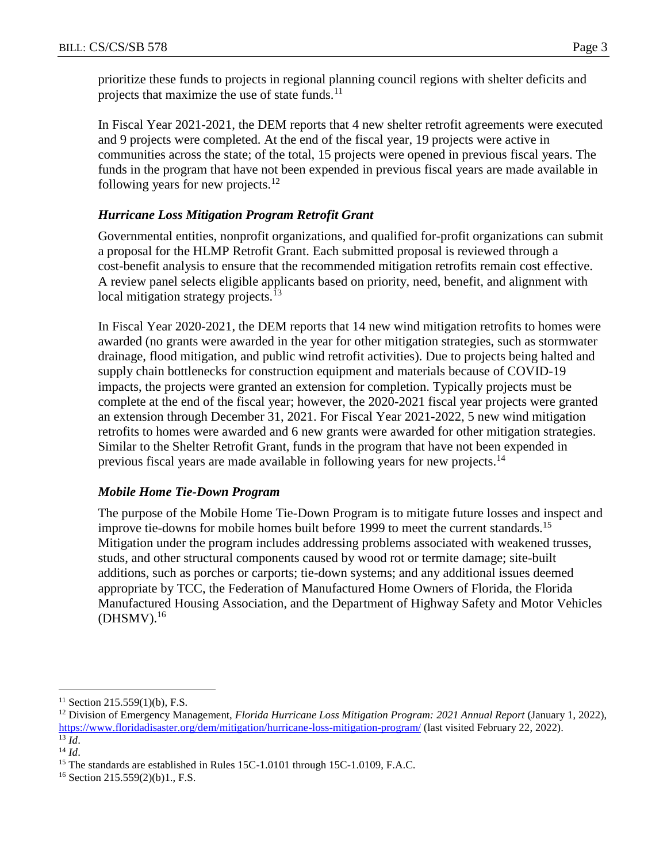prioritize these funds to projects in regional planning council regions with shelter deficits and projects that maximize the use of state funds.<sup>11</sup>

In Fiscal Year 2021-2021, the DEM reports that 4 new shelter retrofit agreements were executed and 9 projects were completed. At the end of the fiscal year, 19 projects were active in communities across the state; of the total, 15 projects were opened in previous fiscal years. The funds in the program that have not been expended in previous fiscal years are made available in following years for new projects.<sup>12</sup>

## *Hurricane Loss Mitigation Program Retrofit Grant*

Governmental entities, nonprofit organizations, and qualified for-profit organizations can submit a proposal for the HLMP Retrofit Grant. Each submitted proposal is reviewed through a cost-benefit analysis to ensure that the recommended mitigation retrofits remain cost effective. A review panel selects eligible applicants based on priority, need, benefit, and alignment with local mitigation strategy projects.<sup>13</sup>

In Fiscal Year 2020-2021, the DEM reports that 14 new wind mitigation retrofits to homes were awarded (no grants were awarded in the year for other mitigation strategies, such as stormwater drainage, flood mitigation, and public wind retrofit activities). Due to projects being halted and supply chain bottlenecks for construction equipment and materials because of COVID-19 impacts, the projects were granted an extension for completion. Typically projects must be complete at the end of the fiscal year; however, the 2020-2021 fiscal year projects were granted an extension through December 31, 2021. For Fiscal Year 2021-2022, 5 new wind mitigation retrofits to homes were awarded and 6 new grants were awarded for other mitigation strategies. Similar to the Shelter Retrofit Grant, funds in the program that have not been expended in previous fiscal years are made available in following years for new projects.<sup>14</sup>

## *Mobile Home Tie-Down Program*

The purpose of the Mobile Home Tie-Down Program is to mitigate future losses and inspect and improve tie-downs for mobile homes built before 1999 to meet the current standards.<sup>15</sup> Mitigation under the program includes addressing problems associated with weakened trusses, studs, and other structural components caused by wood rot or termite damage; site-built additions, such as porches or carports; tie-down systems; and any additional issues deemed appropriate by TCC, the Federation of Manufactured Home Owners of Florida, the Florida Manufactured Housing Association, and the Department of Highway Safety and Motor Vehicles  $(DHSMV).$ <sup>16</sup>

 $\overline{a}$  $11$  Section 215.559(1)(b), F.S.

<sup>12</sup> Division of Emergency Management, *Florida Hurricane Loss Mitigation Program: 2021 Annual Report* (January 1, 2022), <https://www.floridadisaster.org/dem/mitigation/hurricane-loss-mitigation-program/> (last visited February 22, 2022).  $^{13}$   $\overline{Id}$ .

<sup>14</sup> *Id*.

<sup>&</sup>lt;sup>15</sup> The standards are established in Rules 15C-1.0101 through 15C-1.0109, F.A.C.

<sup>16</sup> Section 215.559(2)(b)1., F.S.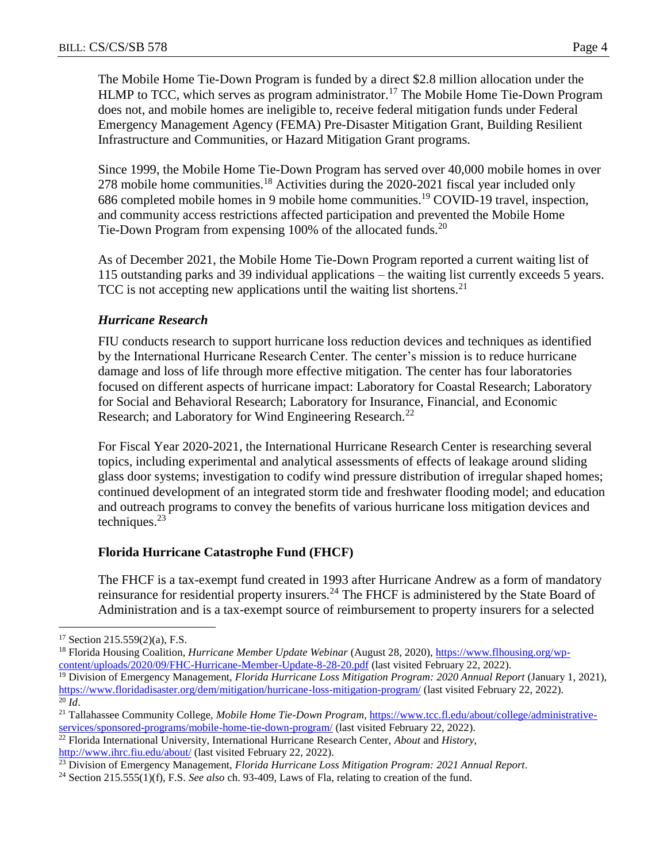The Mobile Home Tie-Down Program is funded by a direct \$2.8 million allocation under the HLMP to TCC, which serves as program administrator.<sup>17</sup> The Mobile Home Tie-Down Program does not, and mobile homes are ineligible to, receive federal mitigation funds under Federal Emergency Management Agency (FEMA) Pre-Disaster Mitigation Grant, Building Resilient Infrastructure and Communities, or Hazard Mitigation Grant programs.

Since 1999, the Mobile Home Tie-Down Program has served over 40,000 mobile homes in over 278 mobile home communities.<sup>18</sup> Activities during the 2020-2021 fiscal year included only 686 completed mobile homes in 9 mobile home communities.<sup>19</sup> COVID-19 travel, inspection, and community access restrictions affected participation and prevented the Mobile Home Tie-Down Program from expensing 100% of the allocated funds.<sup>20</sup>

As of December 2021, the Mobile Home Tie-Down Program reported a current waiting list of 115 outstanding parks and 39 individual applications – the waiting list currently exceeds 5 years. TCC is not accepting new applications until the waiting list shortens.<sup>21</sup>

#### *Hurricane Research*

FIU conducts research to support hurricane loss reduction devices and techniques as identified by the International Hurricane Research Center. The center's mission is to reduce hurricane damage and loss of life through more effective mitigation. The center has four laboratories focused on different aspects of hurricane impact: Laboratory for Coastal Research; Laboratory for Social and Behavioral Research; Laboratory for Insurance, Financial, and Economic Research; and Laboratory for Wind Engineering Research.<sup>22</sup>

For Fiscal Year 2020-2021, the International Hurricane Research Center is researching several topics, including experimental and analytical assessments of effects of leakage around sliding glass door systems; investigation to codify wind pressure distribution of irregular shaped homes; continued development of an integrated storm tide and freshwater flooding model; and education and outreach programs to convey the benefits of various hurricane loss mitigation devices and techniques. $23$ 

## **Florida Hurricane Catastrophe Fund (FHCF)**

The FHCF is a tax-exempt fund created in 1993 after Hurricane Andrew as a form of mandatory reinsurance for residential property insurers.<sup>24</sup> The FHCF is administered by the State Board of Administration and is a tax-exempt source of reimbursement to property insurers for a selected

 $\overline{a}$ 

 $17$  Section 215.559(2)(a), F.S.

<sup>&</sup>lt;sup>18</sup> Florida Housing Coalition, *Hurricane Member Update Webinar* (August 28, 2020), [https://www.flhousing.org/wp](https://www.flhousing.org/wp-content/uploads/2020/09/FHC-Hurricane-Member-Update-8-28-20.pdf)[content/uploads/2020/09/FHC-Hurricane-Member-Update-8-28-20.pdf](https://www.flhousing.org/wp-content/uploads/2020/09/FHC-Hurricane-Member-Update-8-28-20.pdf) (last visited February 22, 2022).

<sup>19</sup> Division of Emergency Management, *Florida Hurricane Loss Mitigation Program: 2020 Annual Report* (January 1, 2021), <https://www.floridadisaster.org/dem/mitigation/hurricane-loss-mitigation-program/> (last visited February 22, 2022).  $^{20}$  *Id.* 

<sup>21</sup> Tallahassee Community College, *Mobile Home Tie-Down Program*, [https://www.tcc.fl.edu/about/college/administrative](https://www.tcc.fl.edu/about/college/administrative-services/sponsored-programs/mobile-home-tie-down-program/)[services/sponsored-programs/mobile-home-tie-down-program/](https://www.tcc.fl.edu/about/college/administrative-services/sponsored-programs/mobile-home-tie-down-program/) (last visited February 22, 2022).

<sup>22</sup> Florida International University, International Hurricane Research Center, *About* and *History*, <http://www.ihrc.fiu.edu/about/> (last visited February 22, 2022).

<sup>23</sup> Division of Emergency Management, *Florida Hurricane Loss Mitigation Program: 2021 Annual Report*.

<sup>24</sup> Section 215.555(1)(f), F.S. *See also* ch. 93-409, Laws of Fla, relating to creation of the fund.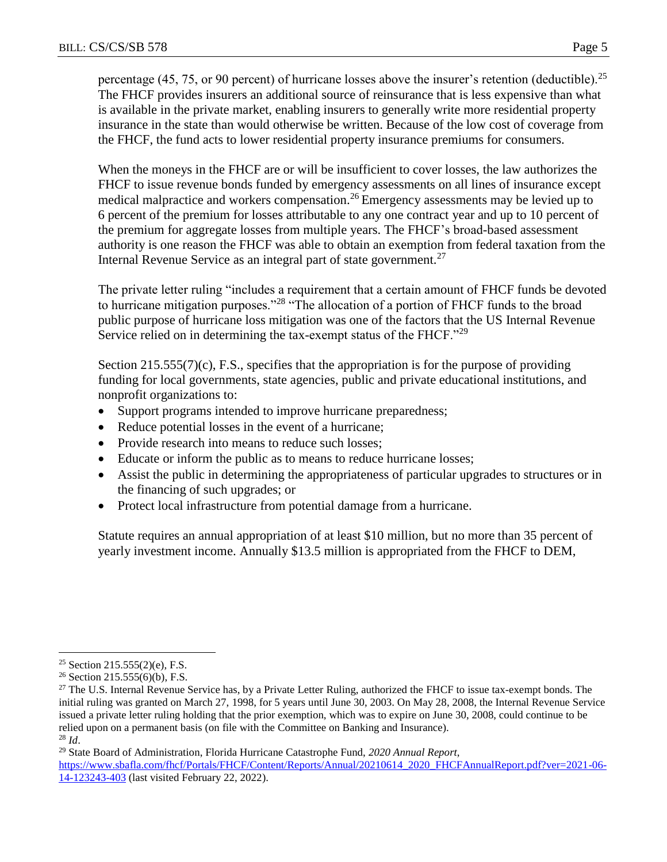percentage (45, 75, or 90 percent) of hurricane losses above the insurer's retention (deductible).<sup>25</sup> The FHCF provides insurers an additional source of reinsurance that is less expensive than what is available in the private market, enabling insurers to generally write more residential property insurance in the state than would otherwise be written. Because of the low cost of coverage from the FHCF, the fund acts to lower residential property insurance premiums for consumers.

When the moneys in the FHCF are or will be insufficient to cover losses, the law authorizes the FHCF to issue revenue bonds funded by emergency assessments on all lines of insurance except medical malpractice and workers compensation.<sup>26</sup> Emergency assessments may be levied up to 6 percent of the premium for losses attributable to any one contract year and up to 10 percent of the premium for aggregate losses from multiple years. The FHCF's broad-based assessment authority is one reason the FHCF was able to obtain an exemption from federal taxation from the Internal Revenue Service as an integral part of state government.<sup>27</sup>

The private letter ruling "includes a requirement that a certain amount of FHCF funds be devoted to hurricane mitigation purposes."<sup>28</sup> "The allocation of a portion of FHCF funds to the broad public purpose of hurricane loss mitigation was one of the factors that the US Internal Revenue Service relied on in determining the tax-exempt status of the FHCF."<sup>29</sup>

Section 215.555(7)(c), F.S., specifies that the appropriation is for the purpose of providing funding for local governments, state agencies, public and private educational institutions, and nonprofit organizations to:

- Support programs intended to improve hurricane preparedness;
- Reduce potential losses in the event of a hurricane;
- Provide research into means to reduce such losses;
- Educate or inform the public as to means to reduce hurricane losses;
- Assist the public in determining the appropriateness of particular upgrades to structures or in the financing of such upgrades; or
- Protect local infrastructure from potential damage from a hurricane.

Statute requires an annual appropriation of at least \$10 million, but no more than 35 percent of yearly investment income. Annually \$13.5 million is appropriated from the FHCF to DEM,

 $\overline{a}$ <sup>25</sup> Section 215.555(2)(e), F.S.

<sup>26</sup> Section 215.555(6)(b), F.S.

<sup>&</sup>lt;sup>27</sup> The U.S. Internal Revenue Service has, by a Private Letter Ruling, authorized the FHCF to issue tax-exempt bonds. The initial ruling was granted on March 27, 1998, for 5 years until June 30, 2003. On May 28, 2008, the Internal Revenue Service issued a private letter ruling holding that the prior exemption, which was to expire on June 30, 2008, could continue to be relied upon on a permanent basis (on file with the Committee on Banking and Insurance). <sup>28</sup> *Id*.

<sup>29</sup> State Board of Administration, Florida Hurricane Catastrophe Fund, *2020 Annual Report*, [https://www.sbafla.com/fhcf/Portals/FHCF/Content/Reports/Annual/20210614\\_2020\\_FHCFAnnualReport.pdf?ver=2021-06-](https://www.sbafla.com/fhcf/Portals/FHCF/Content/Reports/Annual/20210614_2020_FHCFAnnualReport.pdf?ver=2021-06-14-123243-403) [14-123243-403](https://www.sbafla.com/fhcf/Portals/FHCF/Content/Reports/Annual/20210614_2020_FHCFAnnualReport.pdf?ver=2021-06-14-123243-403) (last visited February 22, 2022).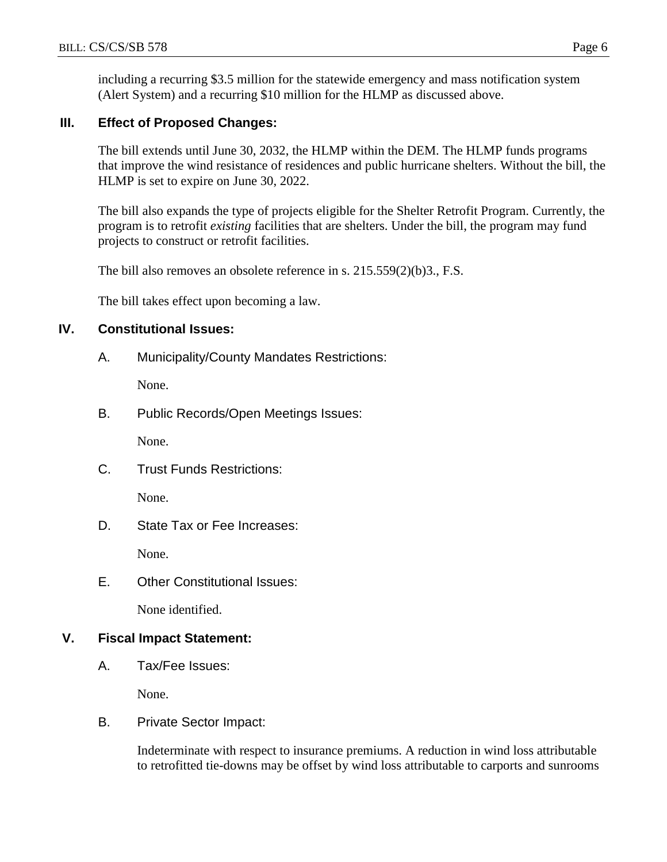including a recurring \$3.5 million for the statewide emergency and mass notification system (Alert System) and a recurring \$10 million for the HLMP as discussed above.

## **III. Effect of Proposed Changes:**

The bill extends until June 30, 2032, the HLMP within the DEM. The HLMP funds programs that improve the wind resistance of residences and public hurricane shelters. Without the bill, the HLMP is set to expire on June 30, 2022.

The bill also expands the type of projects eligible for the Shelter Retrofit Program. Currently, the program is to retrofit *existing* facilities that are shelters. Under the bill, the program may fund projects to construct or retrofit facilities.

The bill also removes an obsolete reference in s. 215.559(2)(b)3., F.S.

The bill takes effect upon becoming a law.

## **IV. Constitutional Issues:**

A. Municipality/County Mandates Restrictions:

None.

B. Public Records/Open Meetings Issues:

None.

C. Trust Funds Restrictions:

None.

D. State Tax or Fee Increases:

None.

E. Other Constitutional Issues:

None identified.

## **V. Fiscal Impact Statement:**

A. Tax/Fee Issues:

None.

B. Private Sector Impact:

Indeterminate with respect to insurance premiums. A reduction in wind loss attributable to retrofitted tie-downs may be offset by wind loss attributable to carports and sunrooms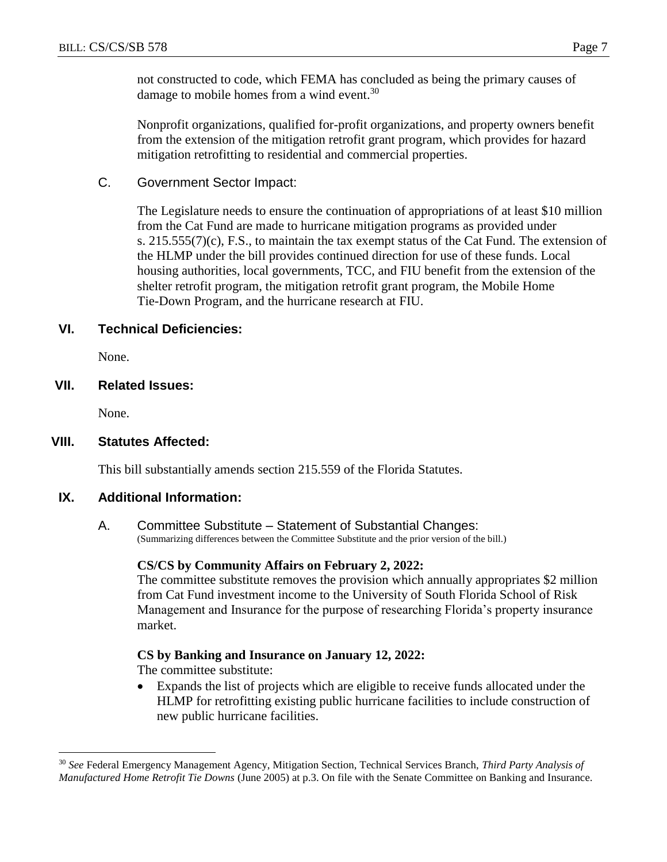not constructed to code, which FEMA has concluded as being the primary causes of damage to mobile homes from a wind event.<sup>30</sup>

Nonprofit organizations, qualified for-profit organizations, and property owners benefit from the extension of the mitigation retrofit grant program, which provides for hazard mitigation retrofitting to residential and commercial properties.

C. Government Sector Impact:

The Legislature needs to ensure the continuation of appropriations of at least \$10 million from the Cat Fund are made to hurricane mitigation programs as provided under s. 215.555(7)(c), F.S., to maintain the tax exempt status of the Cat Fund. The extension of the HLMP under the bill provides continued direction for use of these funds. Local housing authorities, local governments, TCC, and FIU benefit from the extension of the shelter retrofit program, the mitigation retrofit grant program, the Mobile Home Tie-Down Program, and the hurricane research at FIU.

## **VI. Technical Deficiencies:**

None.

## **VII. Related Issues:**

None.

 $\overline{a}$ 

#### **VIII. Statutes Affected:**

This bill substantially amends section 215.559 of the Florida Statutes.

#### **IX. Additional Information:**

A. Committee Substitute – Statement of Substantial Changes: (Summarizing differences between the Committee Substitute and the prior version of the bill.)

#### **CS/CS by Community Affairs on February 2, 2022:**

The committee substitute removes the provision which annually appropriates \$2 million from Cat Fund investment income to the University of South Florida School of Risk Management and Insurance for the purpose of researching Florida's property insurance market.

## **CS by Banking and Insurance on January 12, 2022:**

The committee substitute:

 Expands the list of projects which are eligible to receive funds allocated under the HLMP for retrofitting existing public hurricane facilities to include construction of new public hurricane facilities.

<sup>30</sup> *See* Federal Emergency Management Agency, Mitigation Section, Technical Services Branch, *Third Party Analysis of Manufactured Home Retrofit Tie Downs* (June 2005) at p.3. On file with the Senate Committee on Banking and Insurance.